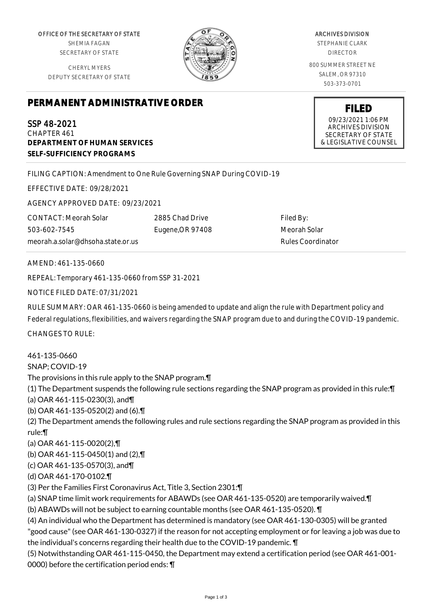OFFICE OF THE SECRETARY OF STATE SHEMIA FAGAN SECRETARY OF STATE

CHERYL MYERS DEPUTY SECRETARY OF STATE



ARCHIVES DIVISION

STEPHANIE CLARK DIRECTOR

800 SUMMER STREET NE SALEM, OR 97310 503-373-0701

> **FILED** 09/23/2021 1:06 PM ARCHIVES DIVISION SECRETARY OF STATE & LEGISLATIVE COUNSEL

## **PERMANENT ADMINISTRATIVE ORDER**

SSP 48-2021 CHAPTER 461 **DEPARTMENT OF HUMAN SERVICES SELF-SUFFICIENCY PROGRAMS**

FILING CAPTION: Amendment to One Rule Governing SNAP During COVID-19

EFFECTIVE DATE: 09/28/2021

AGENCY APPROVED DATE: 09/23/2021

CONTACT: Meorah Solar 503-602-7545 meorah.a.solar@dhsoha.state.or.us 2885 Chad Drive Eugene,OR 97408

Filed By: Meorah Solar Rules Coordinator

AMEND: 461-135-0660

REPEAL: Temporary 461-135-0660 from SSP 31-2021

NOTICE FILED DATE: 07/31/2021

RULE SUMMARY: OAR 461-135-0660 is being amended to update and align the rule with Department policy and Federal regulations, flexibilities, and waivers regarding the SNAP program due to and during the COVID-19 pandemic.

CHANGES TO RULE:

461-135-0660

SNAP; COVID-19

The provisions in this rule apply to the SNAP program.¶

(1) The Department suspends the following rule sections regarding the SNAP program as provided in this rule:¶ (a) OAR 461-115-0230(3), and¶

(b) OAR 461-135-0520(2) and (6).¶

(2) The Department amends the following rules and rule sections regarding the SNAP program as provided in this rule:¶

(a) OAR 461-115-0020(2),¶

(b) OAR 461-115-0450(1) and (2),¶

(c) OAR 461-135-0570(3), and¶

(d) OAR 461-170-0102.¶

(3) Per the Families First Coronavirus Act, Title 3, Section 2301:¶

(a) SNAP time limit work requirements for ABAWDs (see OAR 461-135-0520) are temporarily waived.¶ (b) ABAWDs will not be subject to earning countable months (see OAR 461-135-0520). ¶

(4) An individual who the Department has determined is mandatory (see OAR 461-130-0305) will be granted "good cause" (see OAR 461-130-0327) if the reason for not accepting employment or for leaving a job was due to the individual's concerns regarding their health due to the COVID-19 pandemic. ¶

(5) Notwithstanding OAR 461-115-0450, the Department may extend a certification period (see OAR 461-001- 0000) before the certification period ends: ¶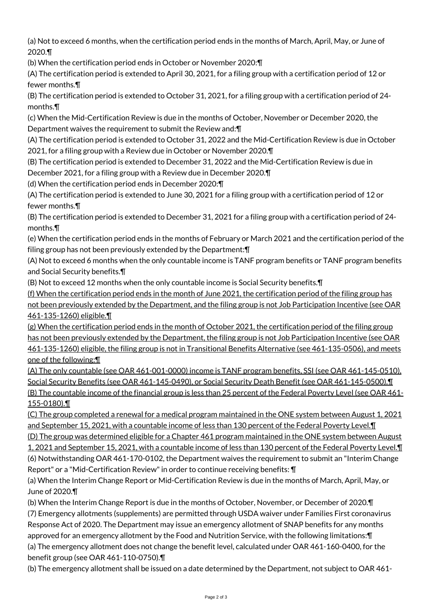(a) Not to exceed 6 months, when the certification period ends in the months of March, April, May, or June of 2020.¶

(b) When the certification period ends in October or November 2020:¶

(A) The certification period is extended to April 30, 2021, for a filing group with a certification period of 12 or fewer months.¶

(B) The certification period is extended to October 31, 2021, for a filing group with a certification period of 24 months.¶

(c) When the Mid-Certification Review is due in the months of October, November or December 2020, the Department waives the requirement to submit the Review and:¶

(A) The certification period is extended to October 31, 2022 and the Mid-Certification Review is due in October 2021, for a filing group with a Review due in October or November 2020.¶

(B) The certification period is extended to December 31, 2022 and the Mid-Certification Review is due in December 2021, for a filing group with a Review due in December 2020.¶

(d) When the certification period ends in December 2020:¶

(A) The certification period is extended to June 30, 2021 for a filing group with a certification period of 12 or fewer months.¶

(B) The certification period is extended to December 31, 2021 for a filing group with a certification period of 24 months.¶

(e) When the certification period ends in the months of February or March 2021 and the certification period of the filing group has not been previously extended by the Department:¶

(A) Not to exceed 6 months when the only countable income is TANF program benefits or TANF program benefits and Social Security benefits.¶

(B) Not to exceed 12 months when the only countable income is Social Security benefits.¶

(f) When the certification period ends in the month of June 2021, the certification period of the filing group has not been previously extended by the Department, and the filing group is not Job Participation Incentive (see OAR 461-135-1260) eligible.¶

(g) When the certification period ends in the month of October 2021, the certification period of the filing group has not been previously extended by the Department, the filing group is not Job Participation Incentive (see OAR 461-135-1260) eligible, the filing group is not in Transitional Benefits Alternative (see 461-135-0506), and meets one of the following:¶

(A) The only countable (see OAR 461-001-0000) income is TANF program benefits, SSI (see OAR 461-145-0510), Social Security Benefits (see OAR 461-145-0490), or Social Security Death Benefit (see OAR 461-145-0500).¶ (B) The countable income of the financial group is less than 25 percent of the Federal Poverty Level (see OAR 461-155-0180).¶

(C) The group completed a renewal for a medical program maintained in the ONE system between August 1, 2021 and September 15, 2021, with a countable income of less than 130 percent of the Federal Poverty Level.¶

(D) The group was determined eligible for a Chapter 461 program maintained in the ONE system between August 1, 2021 and September 15, 2021, with a countable income of less than 130 percent of the Federal Poverty Level.¶ (6) Notwithstanding OAR 461-170-0102, the Department waives the requirement to submit an "Interim Change

Report" or a "Mid-Certification Review" in order to continue receiving benefits: ¶

(a) When the Interim Change Report or Mid-Certification Review is due in the months of March, April, May, or June of 2020.¶

(b) When the Interim Change Report is due in the months of October, November, or December of 2020.¶ (7) Emergency allotments (supplements) are permitted through USDA waiver under Families First coronavirus Response Act of 2020. The Department may issue an emergency allotment of SNAP benefits for any months approved for an emergency allotment by the Food and Nutrition Service, with the following limitations:¶ (a) The emergency allotment does not change the benefit level, calculated under OAR 461-160-0400, for the benefit group (see OAR 461-110-0750).¶

(b) The emergency allotment shall be issued on a date determined by the Department, not subject to OAR 461-